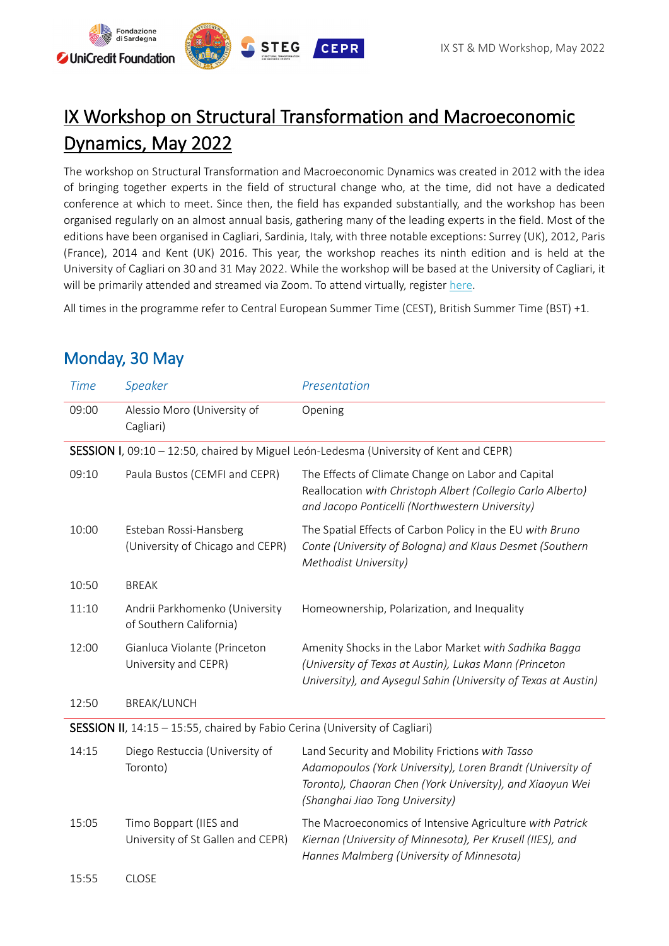

# IX Workshop on Structural Transformation and Macroeconomic Dynamics, May 2022

The workshop on Structural Transformation and Macroeconomic Dynamics was created in 2012 with the idea of bringing together experts in the field of structural change who, at the time, did not have a dedicated conference at which to meet. Since then, the field has expanded substantially, and the workshop has been organised regularly on an almost annual basis, gathering many of the leading experts in the field. Most of the editions have been organised in Cagliari, Sardinia, Italy, with three notable exceptions: Surrey (UK), 2012, Paris (France), 2014 and Kent (UK) 2016. This year, the workshop reaches its ninth edition and is held at the University of Cagliari on 30 and 31 May 2022. While the workshop will be based at the University of Cagliari, it will be primarily attended and streamed via Zoom. To attend virtually, register [here.](https://cepr-org.zoom.us/webinar/register/WN_kjlrYAHyT0ef4TVXu4OJkg)

All times in the programme refer to Central European Summer Time (CEST), British Summer Time (BST) +1.

| <b>Time</b>                                                                            | Speaker                                                     | Presentation                                                                                                                                                                                                  |  |
|----------------------------------------------------------------------------------------|-------------------------------------------------------------|---------------------------------------------------------------------------------------------------------------------------------------------------------------------------------------------------------------|--|
| 09:00                                                                                  | Alessio Moro (University of<br>Cagliari)                    | Opening                                                                                                                                                                                                       |  |
| SESSION I, 09:10 - 12:50, chaired by Miguel León-Ledesma (University of Kent and CEPR) |                                                             |                                                                                                                                                                                                               |  |
| 09:10                                                                                  | Paula Bustos (CEMFI and CEPR)                               | The Effects of Climate Change on Labor and Capital<br>Reallocation with Christoph Albert (Collegio Carlo Alberto)<br>and Jacopo Ponticelli (Northwestern University)                                          |  |
| 10:00                                                                                  | Esteban Rossi-Hansberg<br>(University of Chicago and CEPR)  | The Spatial Effects of Carbon Policy in the EU with Bruno<br>Conte (University of Bologna) and Klaus Desmet (Southern<br>Methodist University)                                                                |  |
| 10:50                                                                                  | <b>BREAK</b>                                                |                                                                                                                                                                                                               |  |
| 11:10                                                                                  | Andrii Parkhomenko (University<br>of Southern California)   | Homeownership, Polarization, and Inequality                                                                                                                                                                   |  |
| 12:00                                                                                  | Gianluca Violante (Princeton<br>University and CEPR)        | Amenity Shocks in the Labor Market with Sadhika Bagga<br>(University of Texas at Austin), Lukas Mann (Princeton<br>University), and Aysegul Sahin (University of Texas at Austin)                             |  |
| 12:50                                                                                  | <b>BREAK/LUNCH</b>                                          |                                                                                                                                                                                                               |  |
| <b>SESSION II</b> , 14:15 - 15:55, chaired by Fabio Cerina (University of Cagliari)    |                                                             |                                                                                                                                                                                                               |  |
| 14:15                                                                                  | Diego Restuccia (University of<br>Toronto)                  | Land Security and Mobility Frictions with Tasso<br>Adamopoulos (York University), Loren Brandt (University of<br>Toronto), Chaoran Chen (York University), and Xiaoyun Wei<br>(Shanghai Jiao Tong University) |  |
| 15:05                                                                                  | Timo Boppart (IIES and<br>University of St Gallen and CEPR) | The Macroeconomics of Intensive Agriculture with Patrick<br>Kiernan (University of Minnesota), Per Krusell (IIES), and<br>Hannes Malmberg (University of Minnesota)                                           |  |
| 15:55                                                                                  | <b>CLOSE</b>                                                |                                                                                                                                                                                                               |  |

## Monday, 30 May